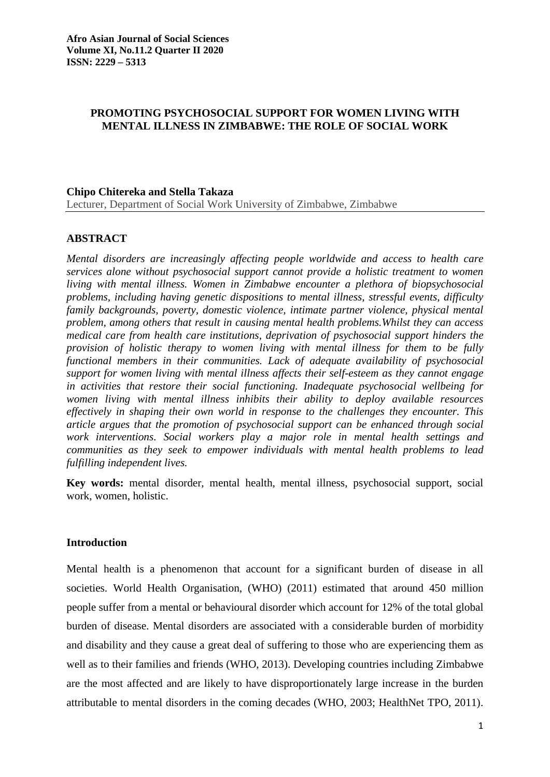# **PROMOTING PSYCHOSOCIAL SUPPORT FOR WOMEN LIVING WITH MENTAL ILLNESS IN ZIMBABWE: THE ROLE OF SOCIAL WORK**

### **Chipo Chitereka and Stella Takaza**

Lecturer, Department of Social Work University of Zimbabwe, Zimbabwe

# **ABSTRACT**

*Mental disorders are increasingly affecting people worldwide and access to health care services alone without psychosocial support cannot provide a holistic treatment to women living with mental illness. Women in Zimbabwe encounter a plethora of biopsychosocial problems, including having genetic dispositions to mental illness, stressful events, difficulty family backgrounds, poverty, domestic violence, intimate partner violence, physical mental problem, among others that result in causing mental health problems.Whilst they can access medical care from health care institutions, deprivation of psychosocial support hinders the provision of holistic therapy to women living with mental illness for them to be fully functional members in their communities. Lack of adequate availability of psychosocial support for women living with mental illness affects their self-esteem as they cannot engage in activities that restore their social functioning. Inadequate psychosocial wellbeing for women living with mental illness inhibits their ability to deploy available resources effectively in shaping their own world in response to the challenges they encounter. This article argues that the promotion of psychosocial support can be enhanced through social work interventions. Social workers play a major role in mental health settings and communities as they seek to empower individuals with mental health problems to lead fulfilling independent lives.*

**Key words:** mental disorder, mental health, mental illness, psychosocial support, social work, women, holistic.

# **Introduction**

Mental health is a phenomenon that account for a significant burden of disease in all societies. World Health Organisation, (WHO) (2011) estimated that around 450 million people suffer from a mental or behavioural disorder which account for 12% of the total global burden of disease. Mental disorders are associated with a considerable burden of morbidity and disability and they cause a great deal of suffering to those who are experiencing them as well as to their families and friends (WHO, 2013). Developing countries including Zimbabwe are the most affected and are likely to have disproportionately large increase in the burden attributable to mental disorders in the coming decades (WHO, 2003; HealthNet TPO, 2011).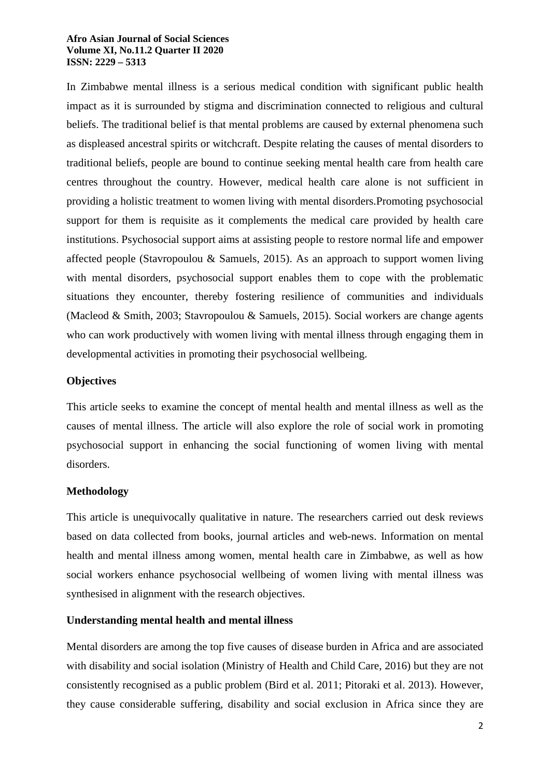In Zimbabwe mental illness is a serious medical condition with significant public health impact as it is surrounded by stigma and discrimination connected to religious and cultural beliefs. The traditional belief is that mental problems are caused by external phenomena such as displeased ancestral spirits or witchcraft. Despite relating the causes of mental disorders to traditional beliefs, people are bound to continue seeking mental health care from health care centres throughout the country. However, medical health care alone is not sufficient in providing a holistic treatment to women living with mental disorders.Promoting psychosocial support for them is requisite as it complements the medical care provided by health care institutions. Psychosocial support aims at assisting people to restore normal life and empower affected people (Stavropoulou & Samuels, 2015). As an approach to support women living with mental disorders, psychosocial support enables them to cope with the problematic situations they encounter, thereby fostering resilience of communities and individuals (Macleod & Smith, 2003; Stavropoulou & Samuels, 2015). Social workers are change agents who can work productively with women living with mental illness through engaging them in developmental activities in promoting their psychosocial wellbeing.

# **Objectives**

This article seeks to examine the concept of mental health and mental illness as well as the causes of mental illness. The article will also explore the role of social work in promoting psychosocial support in enhancing the social functioning of women living with mental disorders.

# **Methodology**

This article is unequivocally qualitative in nature. The researchers carried out desk reviews based on data collected from books, journal articles and web-news. Information on mental health and mental illness among women, mental health care in Zimbabwe, as well as how social workers enhance psychosocial wellbeing of women living with mental illness was synthesised in alignment with the research objectives.

# **Understanding mental health and mental illness**

Mental disorders are among the top five causes of disease burden in Africa and are associated with disability and social isolation (Ministry of Health and Child Care, 2016) but they are not consistently recognised as a public problem (Bird et al. 2011; Pitoraki et al. 2013). However, they cause considerable suffering, disability and social exclusion in Africa since they are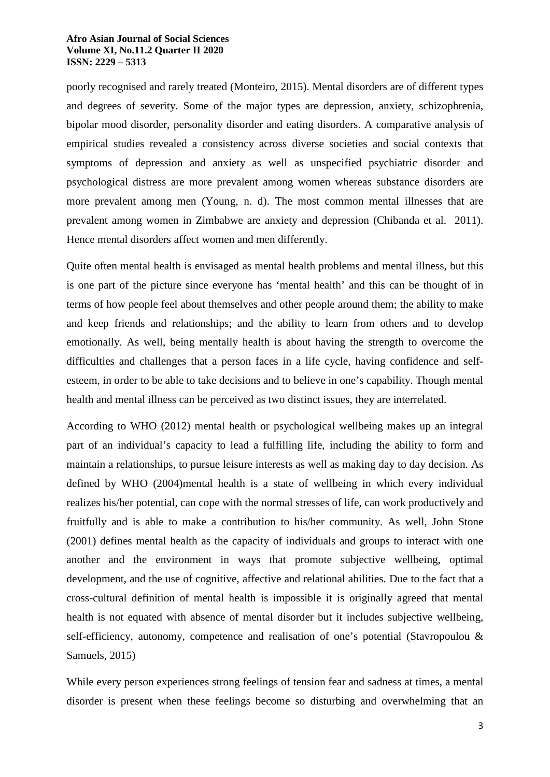poorly recognised and rarely treated (Monteiro, 2015). Mental disorders are of different types and degrees of severity. Some of the major types are depression, anxiety, schizophrenia, bipolar mood disorder, personality disorder and eating disorders. A comparative analysis of empirical studies revealed a consistency across diverse societies and social contexts that symptoms of depression and anxiety as well as unspecified psychiatric disorder and psychological distress are more prevalent among women whereas substance disorders are more prevalent among men (Young, n. d). The most common mental illnesses that are prevalent among women in Zimbabwe are anxiety and depression (Chibanda et al. 2011). Hence mental disorders affect women and men differently.

Quite often mental health is envisaged as mental health problems and mental illness, but this is one part of the picture since everyone has 'mental health' and this can be thought of in terms of how people feel about themselves and other people around them; the ability to make and keep friends and relationships; and the ability to learn from others and to develop emotionally. As well, being mentally health is about having the strength to overcome the difficulties and challenges that a person faces in a life cycle, having confidence and selfesteem, in order to be able to take decisions and to believe in one's capability. Though mental health and mental illness can be perceived as two distinct issues, they are interrelated.

According to WHO (2012) mental health or psychological wellbeing makes up an integral part of an individual's capacity to lead a fulfilling life, including the ability to form and maintain a relationships, to pursue leisure interests as well as making day to day decision. As defined by WHO (2004)mental health is a state of wellbeing in which every individual realizes his/her potential, can cope with the normal stresses of life, can work productively and fruitfully and is able to make a contribution to his/her community. As well, John Stone (2001) defines mental health as the capacity of individuals and groups to interact with one another and the environment in ways that promote subjective wellbeing, optimal development, and the use of cognitive, affective and relational abilities. Due to the fact that a cross-cultural definition of mental health is impossible it is originally agreed that mental health is not equated with absence of mental disorder but it includes subjective wellbeing, self-efficiency, autonomy, competence and realisation of one's potential (Stavropoulou & Samuels, 2015)

While every person experiences strong feelings of tension fear and sadness at times, a mental disorder is present when these feelings become so disturbing and overwhelming that an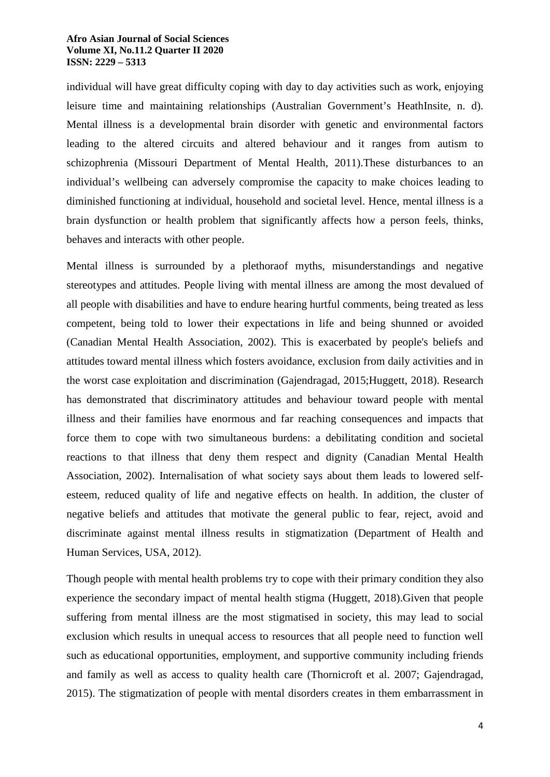individual will have great difficulty coping with day to day activities such as work, enjoying leisure time and maintaining relationships (Australian Government's HeathInsite, n. d). Mental illness is a developmental brain disorder with genetic and environmental factors leading to the altered circuits and altered behaviour and it ranges from autism to schizophrenia (Missouri Department of Mental Health, 2011).These disturbances to an individual's wellbeing can adversely compromise the capacity to make choices leading to diminished functioning at individual, household and societal level. Hence, mental illness is a brain dysfunction or health problem that significantly affects how a person feels, thinks, behaves and interacts with other people.

Mental illness is surrounded by a plethoraof myths, misunderstandings and negative stereotypes and attitudes. People living with mental illness are among the most devalued of all people with disabilities and have to endure hearing hurtful comments, being treated as less competent, being told to lower their expectations in life and being shunned or avoided (Canadian Mental Health Association, 2002). This is exacerbated by people's beliefs and attitudes toward mental illness which fosters avoidance, exclusion from daily activities and in the worst case exploitation and discrimination (Gajendragad, 2015;Huggett, 2018). Research has demonstrated that discriminatory attitudes and behaviour toward people with mental illness and their families have enormous and far reaching consequences and impacts that force them to cope with two simultaneous burdens: a debilitating condition and societal reactions to that illness that deny them respect and dignity (Canadian Mental Health Association, 2002). Internalisation of what society says about them leads to lowered selfesteem, reduced quality of life and negative effects on health. In addition, the cluster of negative beliefs and attitudes that motivate the general public to fear, reject, avoid and discriminate against mental illness results in stigmatization (Department of Health and Human Services, USA, 2012).

Though people with mental health problems try to cope with their primary condition they also experience the secondary impact of mental health stigma (Huggett, 2018).Given that people suffering from mental illness are the most stigmatised in society, this may lead to social exclusion which results in unequal access to resources that all people need to function well such as educational opportunities, employment, and supportive community including friends and family as well as access to quality health care (Thornicroft et al. 2007; Gajendragad, 2015). The stigmatization of people with mental disorders creates in them embarrassment in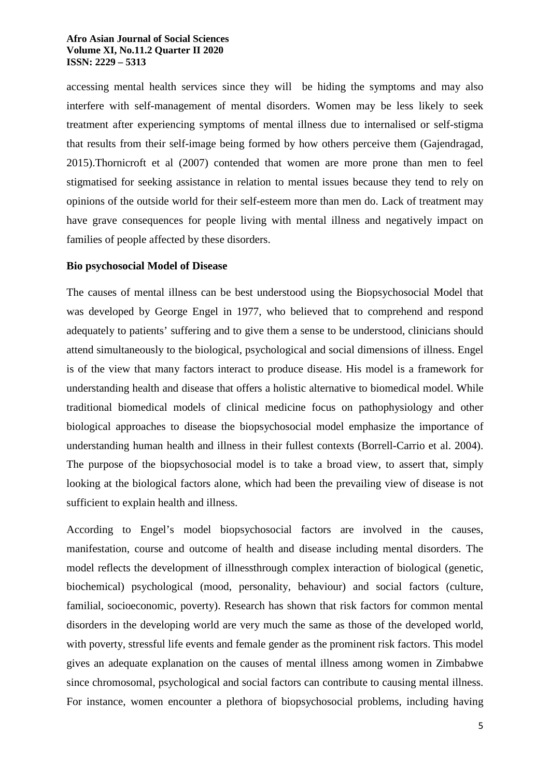accessing mental health services since they will be hiding the symptoms and may also interfere with self-management of mental disorders. Women may be less likely to seek treatment after experiencing symptoms of mental illness due to internalised or self-stigma that results from their self-image being formed by how others perceive them (Gajendragad, 2015).Thornicroft et al (2007) contended that women are more prone than men to feel stigmatised for seeking assistance in relation to mental issues because they tend to rely on opinions of the outside world for their self-esteem more than men do. Lack of treatment may have grave consequences for people living with mental illness and negatively impact on families of people affected by these disorders.

### **Bio psychosocial Model of Disease**

The causes of mental illness can be best understood using the Biopsychosocial Model that was developed by George Engel in 1977, who believed that to comprehend and respond adequately to patients' suffering and to give them a sense to be understood, clinicians should attend simultaneously to the biological, psychological and social dimensions of illness. Engel is of the view that many factors interact to produce disease. His model is a framework for understanding health and disease that offers a holistic alternative to biomedical model. While traditional biomedical models of clinical medicine focus on pathophysiology and other biological approaches to disease the biopsychosocial model emphasize the importance of understanding human health and illness in their fullest contexts (Borrell-Carrio et al. 2004). The purpose of the biopsychosocial model is to take a broad view, to assert that, simply looking at the biological factors alone, which had been the prevailing view of disease is not sufficient to explain health and illness.

According to Engel's model biopsychosocial factors are involved in the causes, manifestation, course and outcome of health and disease including mental disorders. The model reflects the development of illnessthrough complex interaction of biological (genetic, biochemical) psychological (mood, personality, behaviour) and social factors (culture, familial, socioeconomic, poverty). Research has shown that risk factors for common mental disorders in the developing world are very much the same as those of the developed world, with poverty, stressful life events and female gender as the prominent risk factors. This model gives an adequate explanation on the causes of mental illness among women in Zimbabwe since chromosomal, psychological and social factors can contribute to causing mental illness. For instance, women encounter a plethora of biopsychosocial problems, including having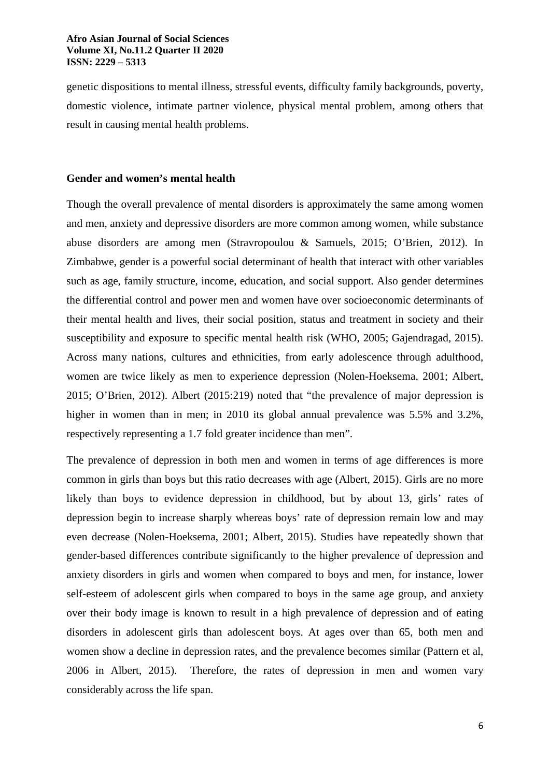genetic dispositions to mental illness, stressful events, difficulty family backgrounds, poverty, domestic violence, intimate partner violence, physical mental problem, among others that result in causing mental health problems.

#### **Gender and women's mental health**

Though the overall prevalence of mental disorders is approximately the same among women and men, anxiety and depressive disorders are more common among women, while substance abuse disorders are among men (Stravropoulou & Samuels, 2015; O'Brien, 2012). In Zimbabwe, gender is a powerful social determinant of health that interact with other variables such as age, family structure, income, education, and social support. Also gender determines the differential control and power men and women have over socioeconomic determinants of their mental health and lives, their social position, status and treatment in society and their susceptibility and exposure to specific mental health risk (WHO, 2005; Gajendragad, 2015). Across many nations, cultures and ethnicities, from early adolescence through adulthood, women are twice likely as men to experience depression (Nolen-Hoeksema, 2001; Albert, 2015; O'Brien, 2012). Albert (2015:219) noted that "the prevalence of major depression is higher in women than in men; in 2010 its global annual prevalence was 5.5% and 3.2%, respectively representing a 1.7 fold greater incidence than men".

The prevalence of depression in both men and women in terms of age differences is more common in girls than boys but this ratio decreases with age (Albert, 2015). Girls are no more likely than boys to evidence depression in childhood, but by about 13, girls' rates of depression begin to increase sharply whereas boys' rate of depression remain low and may even decrease (Nolen-Hoeksema, 2001; Albert, 2015). Studies have repeatedly shown that gender-based differences contribute significantly to the higher prevalence of depression and anxiety disorders in girls and women when compared to boys and men, for instance, lower self-esteem of adolescent girls when compared to boys in the same age group, and anxiety over their body image is known to result in a high prevalence of depression and of eating disorders in adolescent girls than adolescent boys. At ages over than 65, both men and women show a decline in depression rates, and the prevalence becomes similar (Pattern et al, 2006 in Albert, 2015). Therefore, the rates of depression in men and women vary considerably across the life span.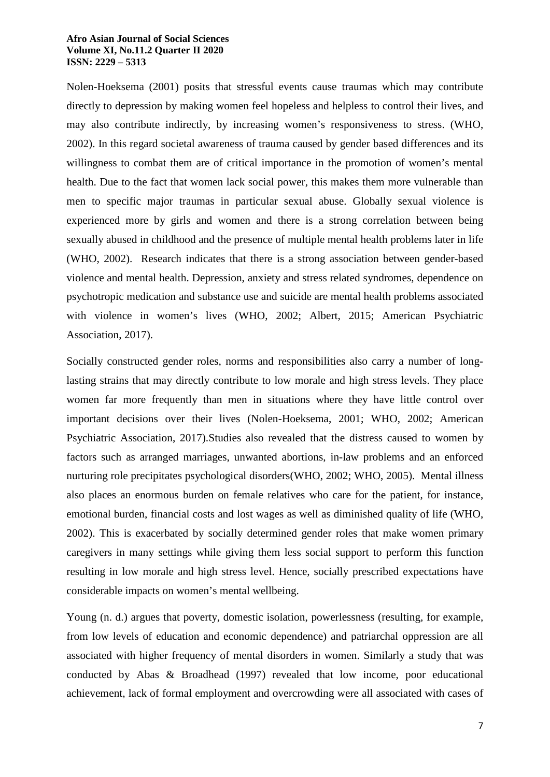Nolen-Hoeksema (2001) posits that stressful events cause traumas which may contribute directly to depression by making women feel hopeless and helpless to control their lives, and may also contribute indirectly, by increasing women's responsiveness to stress. (WHO, 2002). In this regard societal awareness of trauma caused by gender based differences and its willingness to combat them are of critical importance in the promotion of women's mental health. Due to the fact that women lack social power, this makes them more vulnerable than men to specific major traumas in particular sexual abuse. Globally sexual violence is experienced more by girls and women and there is a strong correlation between being sexually abused in childhood and the presence of multiple mental health problems later in life (WHO, 2002). Research indicates that there is a strong association between gender-based violence and mental health. Depression, anxiety and stress related syndromes, dependence on psychotropic medication and substance use and suicide are mental health problems associated with violence in women's lives (WHO, 2002; Albert, 2015; American Psychiatric Association, 2017).

Socially constructed gender roles, norms and responsibilities also carry a number of longlasting strains that may directly contribute to low morale and high stress levels. They place women far more frequently than men in situations where they have little control over important decisions over their lives (Nolen-Hoeksema, 2001; WHO, 2002; American Psychiatric Association, 2017).Studies also revealed that the distress caused to women by factors such as arranged marriages, unwanted abortions, in-law problems and an enforced nurturing role precipitates psychological disorders(WHO, 2002; WHO, 2005). Mental illness also places an enormous burden on female relatives who care for the patient, for instance, emotional burden, financial costs and lost wages as well as diminished quality of life (WHO, 2002). This is exacerbated by socially determined gender roles that make women primary caregivers in many settings while giving them less social support to perform this function resulting in low morale and high stress level. Hence, socially prescribed expectations have considerable impacts on women's mental wellbeing.

Young (n. d.) argues that poverty, domestic isolation, powerlessness (resulting, for example, from low levels of education and economic dependence) and patriarchal oppression are all associated with higher frequency of mental disorders in women. Similarly a study that was conducted by Abas & Broadhead (1997) revealed that low income, poor educational achievement, lack of formal employment and overcrowding were all associated with cases of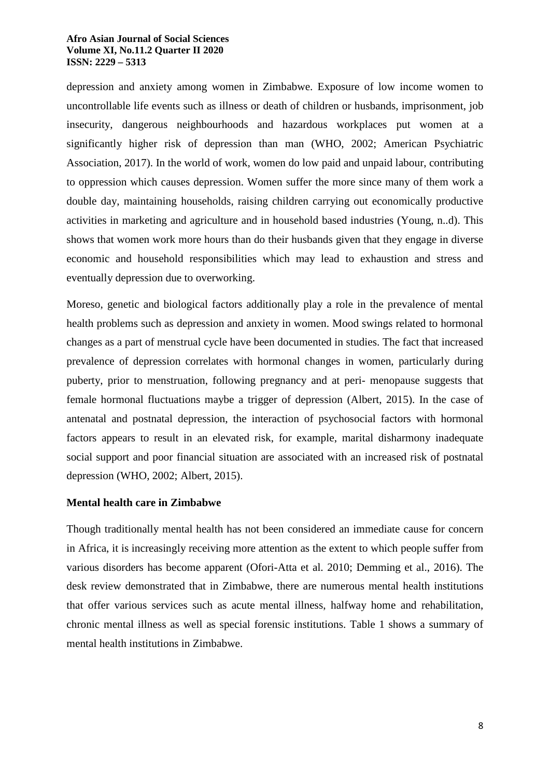depression and anxiety among women in Zimbabwe. Exposure of low income women to uncontrollable life events such as illness or death of children or husbands, imprisonment, job insecurity, dangerous neighbourhoods and hazardous workplaces put women at a significantly higher risk of depression than man (WHO, 2002; American Psychiatric Association, 2017). In the world of work, women do low paid and unpaid labour, contributing to oppression which causes depression. Women suffer the more since many of them work a double day, maintaining households, raising children carrying out economically productive activities in marketing and agriculture and in household based industries (Young, n..d). This shows that women work more hours than do their husbands given that they engage in diverse economic and household responsibilities which may lead to exhaustion and stress and eventually depression due to overworking.

Moreso, genetic and biological factors additionally play a role in the prevalence of mental health problems such as depression and anxiety in women. Mood swings related to hormonal changes as a part of menstrual cycle have been documented in studies. The fact that increased prevalence of depression correlates with hormonal changes in women, particularly during puberty, prior to menstruation, following pregnancy and at peri- menopause suggests that female hormonal fluctuations maybe a trigger of depression (Albert, 2015). In the case of antenatal and postnatal depression, the interaction of psychosocial factors with hormonal factors appears to result in an elevated risk, for example, marital disharmony inadequate social support and poor financial situation are associated with an increased risk of postnatal depression (WHO, 2002; Albert, 2015).

# **Mental health care in Zimbabwe**

Though traditionally mental health has not been considered an immediate cause for concern in Africa, it is increasingly receiving more attention as the extent to which people suffer from various disorders has become apparent (Ofori-Atta et al. 2010; Demming et al., 2016). The desk review demonstrated that in Zimbabwe, there are numerous mental health institutions that offer various services such as acute mental illness, halfway home and rehabilitation, chronic mental illness as well as special forensic institutions. Table 1 shows a summary of mental health institutions in Zimbabwe.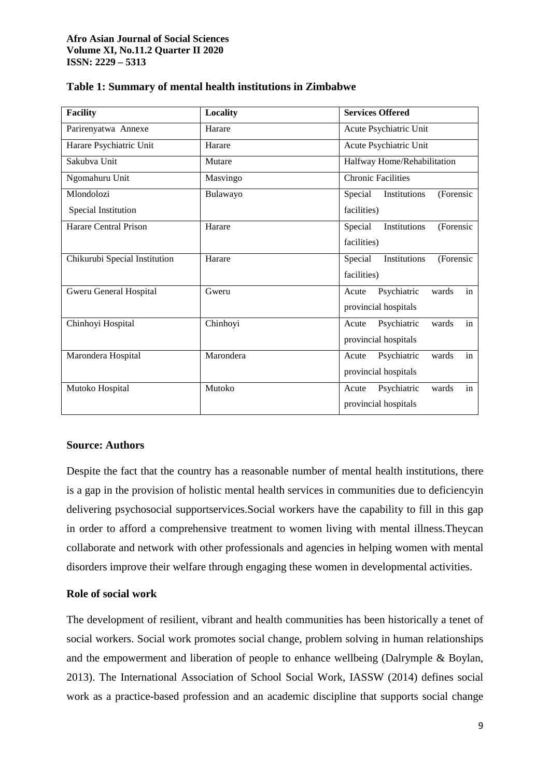| <b>Facility</b>               | Locality  | <b>Services Offered</b>              |
|-------------------------------|-----------|--------------------------------------|
| Parirenyatwa Annexe           | Harare    | Acute Psychiatric Unit               |
| Harare Psychiatric Unit       | Harare    | Acute Psychiatric Unit               |
| Sakubva Unit                  | Mutare    | Halfway Home/Rehabilitation          |
| Ngomahuru Unit                | Masvingo  | <b>Chronic Facilities</b>            |
| Mlondolozi                    | Bulawayo  | Special<br>Institutions<br>(Forensic |
| Special Institution           |           | facilities)                          |
| Harare Central Prison         | Harare    | Institutions<br>(Forensic<br>Special |
|                               |           | facilities)                          |
| Chikurubi Special Institution | Harare    | Special<br>Institutions<br>(Forensic |
|                               |           | facilities)                          |
| Gweru General Hospital        | Gweru     | in<br>Psychiatric<br>wards<br>Acute  |
|                               |           | provincial hospitals                 |
| Chinhoyi Hospital             | Chinhoyi  | Psychiatric<br>in<br>wards<br>Acute  |
|                               |           | provincial hospitals                 |
| Marondera Hospital            | Marondera | Psychiatric<br>wards<br>in<br>Acute  |
|                               |           | provincial hospitals                 |
| Mutoko Hospital               | Mutoko    | in<br>Psychiatric<br>wards<br>Acute  |
|                               |           | provincial hospitals                 |

### **Table 1: Summary of mental health institutions in Zimbabwe**

# **Source: Authors**

Despite the fact that the country has a reasonable number of mental health institutions, there is a gap in the provision of holistic mental health services in communities due to deficiencyin delivering psychosocial supportservices.Social workers have the capability to fill in this gap in order to afford a comprehensive treatment to women living with mental illness.Theycan collaborate and network with other professionals and agencies in helping women with mental disorders improve their welfare through engaging these women in developmental activities.

# **Role of social work**

The development of resilient, vibrant and health communities has been historically a tenet of social workers. Social work promotes social change, problem solving in human relationships and the empowerment and liberation of people to enhance wellbeing (Dalrymple & Boylan, 2013). The International Association of School Social Work, IASSW (2014) defines social work as a practice-based profession and an academic discipline that supports social change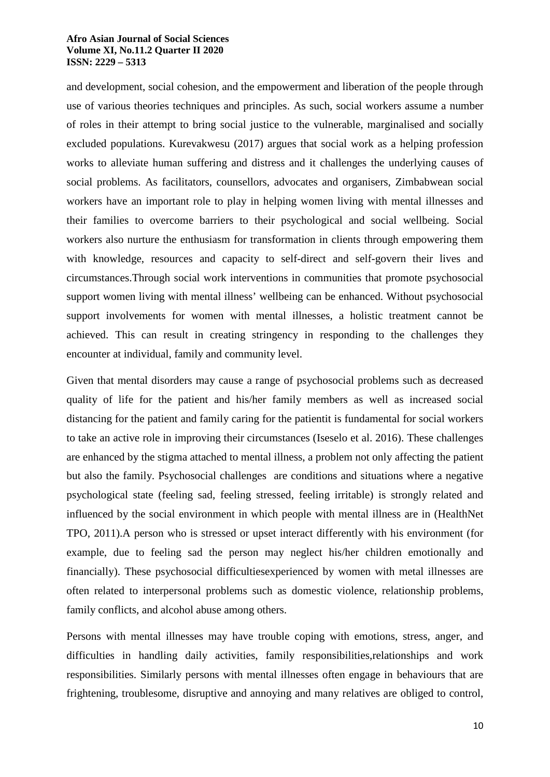and development, social cohesion, and the empowerment and liberation of the people through use of various theories techniques and principles. As such, social workers assume a number of roles in their attempt to bring social justice to the vulnerable, marginalised and socially excluded populations. Kurevakwesu (2017) argues that social work as a helping profession works to alleviate human suffering and distress and it challenges the underlying causes of social problems. As facilitators, counsellors, advocates and organisers, Zimbabwean social workers have an important role to play in helping women living with mental illnesses and their families to overcome barriers to their psychological and social wellbeing. Social workers also nurture the enthusiasm for transformation in clients through empowering them with knowledge, resources and capacity to self-direct and self-govern their lives and circumstances.Through social work interventions in communities that promote psychosocial support women living with mental illness' wellbeing can be enhanced. Without psychosocial support involvements for women with mental illnesses, a holistic treatment cannot be achieved. This can result in creating stringency in responding to the challenges they encounter at individual, family and community level.

Given that mental disorders may cause a range of psychosocial problems such as decreased quality of life for the patient and his/her family members as well as increased social distancing for the patient and family caring for the patientit is fundamental for social workers to take an active role in improving their circumstances (Iseselo et al. 2016). These challenges are enhanced by the stigma attached to mental illness, a problem not only affecting the patient but also the family. Psychosocial challenges are conditions and situations where a negative psychological state (feeling sad, feeling stressed, feeling irritable) is strongly related and influenced by the social environment in which people with mental illness are in (HealthNet TPO, 2011).A person who is stressed or upset interact differently with his environment (for example, due to feeling sad the person may neglect his/her children emotionally and financially). These psychosocial difficultiesexperienced by women with metal illnesses are often related to interpersonal problems such as domestic violence, relationship problems, family conflicts, and alcohol abuse among others.

Persons with mental illnesses may have trouble coping with emotions, stress, anger, and difficulties in handling daily activities, family responsibilities,relationships and work responsibilities. Similarly persons with mental illnesses often engage in behaviours that are frightening, troublesome, disruptive and annoying and many relatives are obliged to control,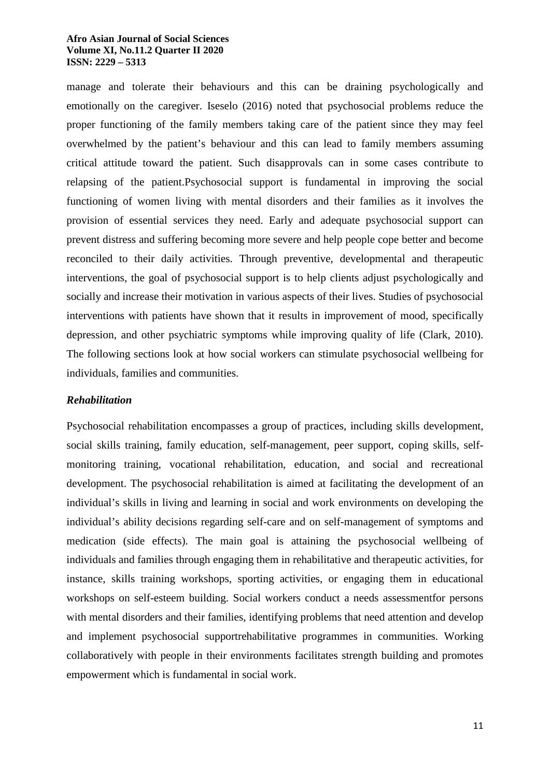manage and tolerate their behaviours and this can be draining psychologically and emotionally on the caregiver. Iseselo (2016) noted that psychosocial problems reduce the proper functioning of the family members taking care of the patient since they may feel overwhelmed by the patient's behaviour and this can lead to family members assuming critical attitude toward the patient. Such disapprovals can in some cases contribute to relapsing of the patient.Psychosocial support is fundamental in improving the social functioning of women living with mental disorders and their families as it involves the provision of essential services they need. Early and adequate psychosocial support can prevent distress and suffering becoming more severe and help people cope better and become reconciled to their daily activities. Through preventive, developmental and therapeutic interventions, the goal of psychosocial support is to help clients adjust psychologically and socially and increase their motivation in various aspects of their lives. Studies of psychosocial interventions with patients have shown that it results in improvement of mood, specifically depression, and other psychiatric symptoms while improving quality of life (Clark, 2010). The following sections look at how social workers can stimulate psychosocial wellbeing for individuals, families and communities.

# *Rehabilitation*

Psychosocial rehabilitation encompasses a group of practices, including skills development, social skills training, family education, self-management, peer support, coping skills, selfmonitoring training, vocational rehabilitation, education, and social and recreational development. The psychosocial rehabilitation is aimed at facilitating the development of an individual's skills in living and learning in social and work environments on developing the individual's ability decisions regarding self-care and on self-management of symptoms and medication (side effects). The main goal is attaining the psychosocial wellbeing of individuals and families through engaging them in rehabilitative and therapeutic activities, for instance, skills training workshops, sporting activities, or engaging them in educational workshops on self-esteem building. Social workers conduct a needs assessmentfor persons with mental disorders and their families, identifying problems that need attention and develop and implement psychosocial supportrehabilitative programmes in communities. Working collaboratively with people in their environments facilitates strength building and promotes empowerment which is fundamental in social work.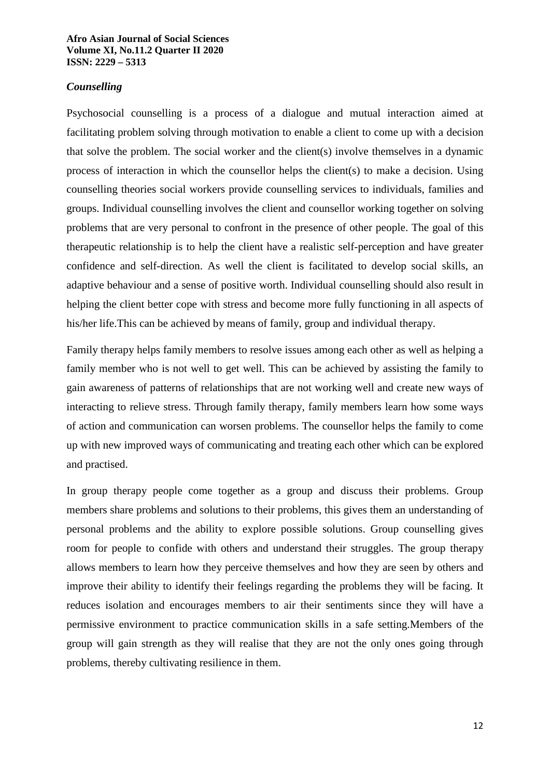# *Counselling*

Psychosocial counselling is a process of a dialogue and mutual interaction aimed at facilitating problem solving through motivation to enable a client to come up with a decision that solve the problem. The social worker and the client(s) involve themselves in a dynamic process of interaction in which the counsellor helps the client(s) to make a decision. Using counselling theories social workers provide counselling services to individuals, families and groups. Individual counselling involves the client and counsellor working together on solving problems that are very personal to confront in the presence of other people. The goal of this therapeutic relationship is to help the client have a realistic self-perception and have greater confidence and self-direction. As well the client is facilitated to develop social skills, an adaptive behaviour and a sense of positive worth. Individual counselling should also result in helping the client better cope with stress and become more fully functioning in all aspects of his/her life.This can be achieved by means of family, group and individual therapy.

Family therapy helps family members to resolve issues among each other as well as helping a family member who is not well to get well. This can be achieved by assisting the family to gain awareness of patterns of relationships that are not working well and create new ways of interacting to relieve stress. Through family therapy, family members learn how some ways of action and communication can worsen problems. The counsellor helps the family to come up with new improved ways of communicating and treating each other which can be explored and practised.

In group therapy people come together as a group and discuss their problems. Group members share problems and solutions to their problems, this gives them an understanding of personal problems and the ability to explore possible solutions. Group counselling gives room for people to confide with others and understand their struggles. The group therapy allows members to learn how they perceive themselves and how they are seen by others and improve their ability to identify their feelings regarding the problems they will be facing. It reduces isolation and encourages members to air their sentiments since they will have a permissive environment to practice communication skills in a safe setting.Members of the group will gain strength as they will realise that they are not the only ones going through problems, thereby cultivating resilience in them.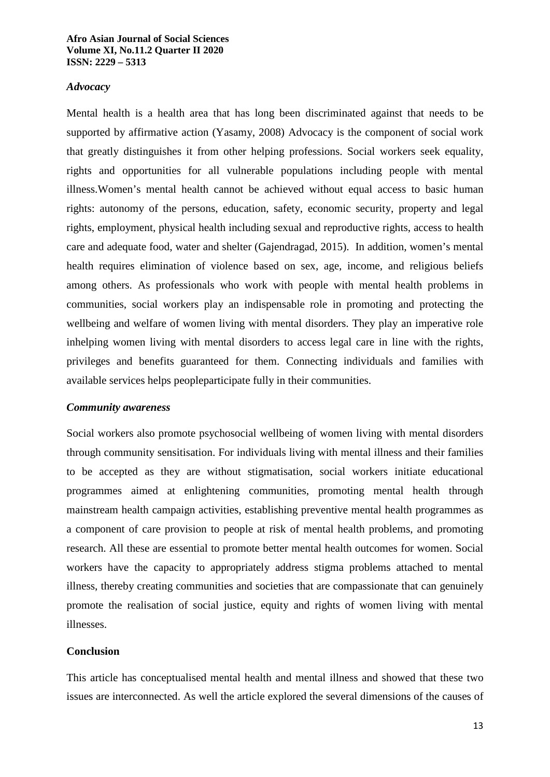### *Advocacy*

Mental health is a health area that has long been discriminated against that needs to be supported by affirmative action (Yasamy, 2008) Advocacy is the component of social work that greatly distinguishes it from other helping professions. Social workers seek equality, rights and opportunities for all vulnerable populations including people with mental illness.Women's mental health cannot be achieved without equal access to basic human rights: autonomy of the persons, education, safety, economic security, property and legal rights, employment, physical health including sexual and reproductive rights, access to health care and adequate food, water and shelter (Gajendragad, 2015). In addition, women's mental health requires elimination of violence based on sex, age, income, and religious beliefs among others. As professionals who work with people with mental health problems in communities, social workers play an indispensable role in promoting and protecting the wellbeing and welfare of women living with mental disorders. They play an imperative role inhelping women living with mental disorders to access legal care in line with the rights, privileges and benefits guaranteed for them. Connecting individuals and families with available services helps peopleparticipate fully in their communities.

#### *Community awareness*

Social workers also promote psychosocial wellbeing of women living with mental disorders through community sensitisation. For individuals living with mental illness and their families to be accepted as they are without stigmatisation, social workers initiate educational programmes aimed at enlightening communities, promoting mental health through mainstream health campaign activities, establishing preventive mental health programmes as a component of care provision to people at risk of mental health problems, and promoting research. All these are essential to promote better mental health outcomes for women. Social workers have the capacity to appropriately address stigma problems attached to mental illness, thereby creating communities and societies that are compassionate that can genuinely promote the realisation of social justice, equity and rights of women living with mental illnesses.

# **Conclusion**

This article has conceptualised mental health and mental illness and showed that these two issues are interconnected. As well the article explored the several dimensions of the causes of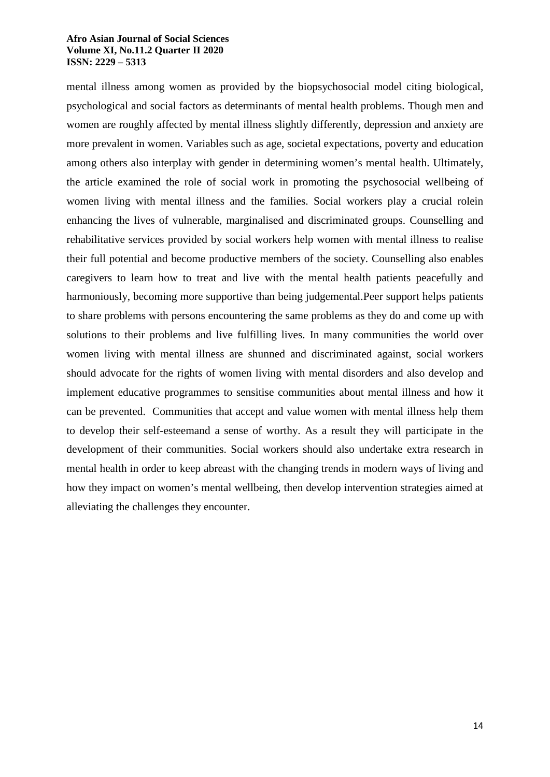mental illness among women as provided by the biopsychosocial model citing biological, psychological and social factors as determinants of mental health problems. Though men and women are roughly affected by mental illness slightly differently, depression and anxiety are more prevalent in women. Variables such as age, societal expectations, poverty and education among others also interplay with gender in determining women's mental health. Ultimately, the article examined the role of social work in promoting the psychosocial wellbeing of women living with mental illness and the families. Social workers play a crucial rolein enhancing the lives of vulnerable, marginalised and discriminated groups. Counselling and rehabilitative services provided by social workers help women with mental illness to realise their full potential and become productive members of the society. Counselling also enables caregivers to learn how to treat and live with the mental health patients peacefully and harmoniously, becoming more supportive than being judgemental.Peer support helps patients to share problems with persons encountering the same problems as they do and come up with solutions to their problems and live fulfilling lives. In many communities the world over women living with mental illness are shunned and discriminated against, social workers should advocate for the rights of women living with mental disorders and also develop and implement educative programmes to sensitise communities about mental illness and how it can be prevented. Communities that accept and value women with mental illness help them to develop their self-esteemand a sense of worthy. As a result they will participate in the development of their communities. Social workers should also undertake extra research in mental health in order to keep abreast with the changing trends in modern ways of living and how they impact on women's mental wellbeing, then develop intervention strategies aimed at alleviating the challenges they encounter.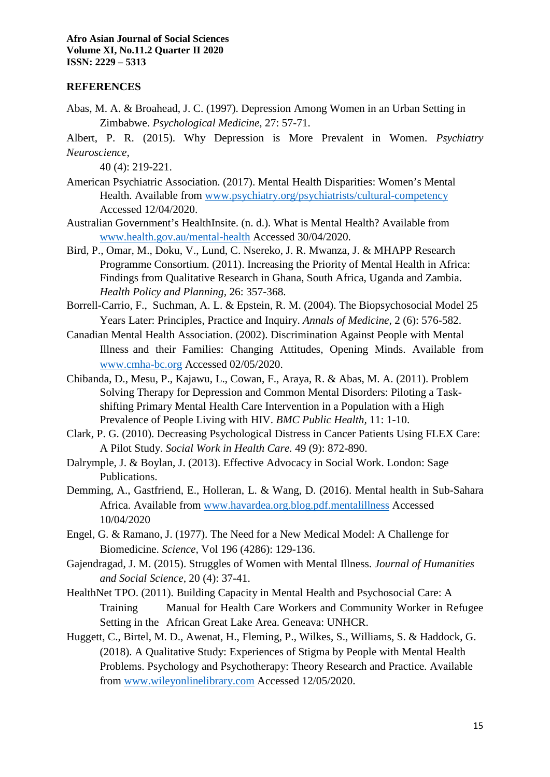# **REFERENCES**

Abas, M. A. & Broahead, J. C. (1997). Depression Among Women in an Urban Setting in Zimbabwe. *Psychological Medicine,* 27: 57-71.

Albert, P. R. (2015). Why Depression is More Prevalent in Women. *Psychiatry Neuroscience,* 

40 (4): 219-221.

- American Psychiatric Association. (2017). Mental Health Disparities: Women's Mental Health. Available from www.psychiatry.org/psychiatrists/cultural-competency Accessed 12/04/2020.
- Australian Government's HealthInsite. (n. d.). What is Mental Health? Available from www.health.gov.au/mental-health Accessed 30/04/2020.
- Bird, P., Omar, M., Doku, V., Lund, C. Nsereko, J. R. Mwanza, J. & MHAPP Research Programme Consortium. (2011). Increasing the Priority of Mental Health in Africa: Findings from Qualitative Research in Ghana, South Africa, Uganda and Zambia. *Health Policy and Planning,* 26: 357-368.
- Borrell-Carrio, F., Suchman, A. L. & Epstein, R. M. (2004). The Biopsychosocial Model 25 Years Later: Principles, Practice and Inquiry. *Annals of Medicine,* 2 (6): 576-582.
- Canadian Mental Health Association. (2002). Discrimination Against People with Mental Illness and their Families: Changing Attitudes, Opening Minds. Available from www.cmha-bc.org Accessed 02/05/2020.
- Chibanda, D., Mesu, P., Kajawu, L., Cowan, F., Araya, R. & Abas, M. A. (2011). Problem Solving Therapy for Depression and Common Mental Disorders: Piloting a Taskshifting Primary Mental Health Care Intervention in a Population with a High Prevalence of People Living with HIV. *BMC Public Health,* 11: 1-10.
- Clark, P. G. (2010). Decreasing Psychological Distress in Cancer Patients Using FLEX Care: A Pilot Study. *Social Work in Health Care.* 49 (9): 872-890.
- Dalrymple, J. & Boylan, J. (2013). Effective Advocacy in Social Work. London: Sage Publications.
- Demming, A., Gastfriend, E., Holleran, L. & Wang, D. (2016). Mental health in Sub-Sahara Africa. Available from www.havardea.org.blog.pdf.mentalillness Accessed 10/04/2020
- Engel, G. & Ramano, J. (1977). The Need for a New Medical Model: A Challenge for Biomedicine. *Science,* Vol 196 (4286): 129-136.
- Gajendragad, J. M. (2015). Struggles of Women with Mental Illness. *Journal of Humanities and Social Science,* 20 (4): 37-41.
- HealthNet TPO. (2011). Building Capacity in Mental Health and Psychosocial Care: A Training Manual for Health Care Workers and Community Worker in Refugee Setting in the African Great Lake Area. Geneava: UNHCR.
- Huggett, C., Birtel, M. D., Awenat, H., Fleming, P., Wilkes, S., Williams, S. & Haddock, G. (2018). A Qualitative Study: Experiences of Stigma by People with Mental Health Problems. Psychology and Psychotherapy: Theory Research and Practice. Available from www.wileyonlinelibrary.com Accessed 12/05/2020.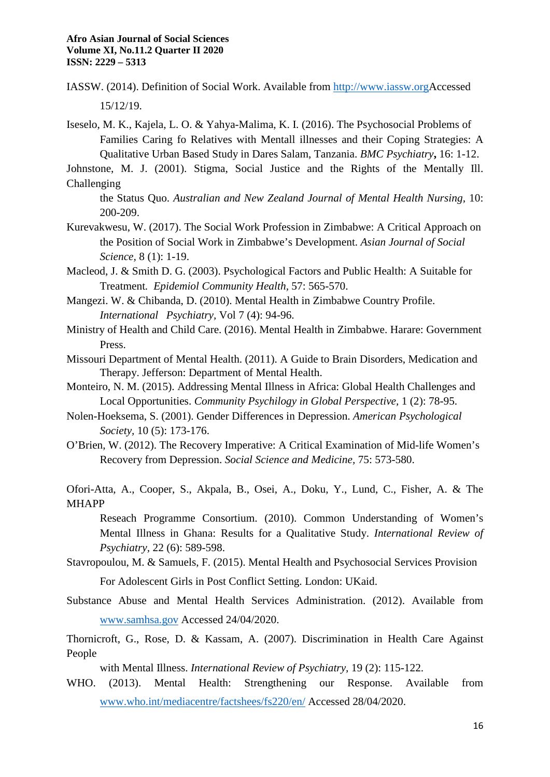IASSW. (2014). Definition of Social Work. Available from http://www.iassw.orgAccessed 15/12/19.

Iseselo, M. K., Kajela, L. O. & Yahya-Malima, K. I. (2016). The Psychosocial Problems of Families Caring fo Relatives with Mentall illnesses and their Coping Strategies: A Qualitative Urban Based Study in Dares Salam, Tanzania. *BMC Psychiatry***,** 16: 1-12.

Johnstone, M. J. (2001). Stigma, Social Justice and the Rights of the Mentally Ill. Challenging

the Status Quo. *Australian and New Zealand Journal of Mental Health Nursing,* 10: 200-209.

Kurevakwesu, W. (2017). The Social Work Profession in Zimbabwe: A Critical Approach on the Position of Social Work in Zimbabwe's Development. *Asian Journal of Social Science,* 8 (1): 1-19.

Macleod, J. & Smith D. G. (2003). Psychological Factors and Public Health: A Suitable for Treatment*. Epidemiol Community Health,* 57: 565-570.

Mangezi. W. & Chibanda, D. (2010). Mental Health in Zimbabwe Country Profile. *International Psychiatry,* Vol 7 (4): 94-96.

- Ministry of Health and Child Care. (2016). Mental Health in Zimbabwe. Harare: Government Press.
- Missouri Department of Mental Health. (2011). A Guide to Brain Disorders, Medication and Therapy. Jefferson: Department of Mental Health.
- Monteiro, N. M. (2015). Addressing Mental Illness in Africa: Global Health Challenges and Local Opportunities. *Community Psychilogy in Global Perspective,* 1 (2): 78-95.
- Nolen-Hoeksema, S. (2001). Gender Differences in Depression. *American Psychological Society,* 10 (5): 173-176.

O'Brien, W. (2012). The Recovery Imperative: A Critical Examination of Mid-life Women's Recovery from Depression. *Social Science and Medicine,* 75: 573-580.

Ofori-Atta, A., Cooper, S., Akpala, B., Osei, A., Doku, Y., Lund, C., Fisher, A. & The MHAPP

Reseach Programme Consortium. (2010). Common Understanding of Women's Mental Illness in Ghana: Results for a Qualitative Study. *International Review of Psychiatry,* 22 (6): 589-598.

Stavropoulou, M. & Samuels, F. (2015). Mental Health and Psychosocial Services Provision

For Adolescent Girls in Post Conflict Setting. London: UKaid.

Substance Abuse and Mental Health Services Administration. (2012). Available from www.samhsa.gov Accessed 24/04/2020.

Thornicroft, G., Rose, D. & Kassam, A. (2007). Discrimination in Health Care Against People

with Mental Illness. *International Review of Psychiatry,* 19 (2): 115-122.

WHO. (2013). Mental Health: Strengthening our Response. Available from www.who.int/mediacentre/factshees/fs220/en/ Accessed 28/04/2020.